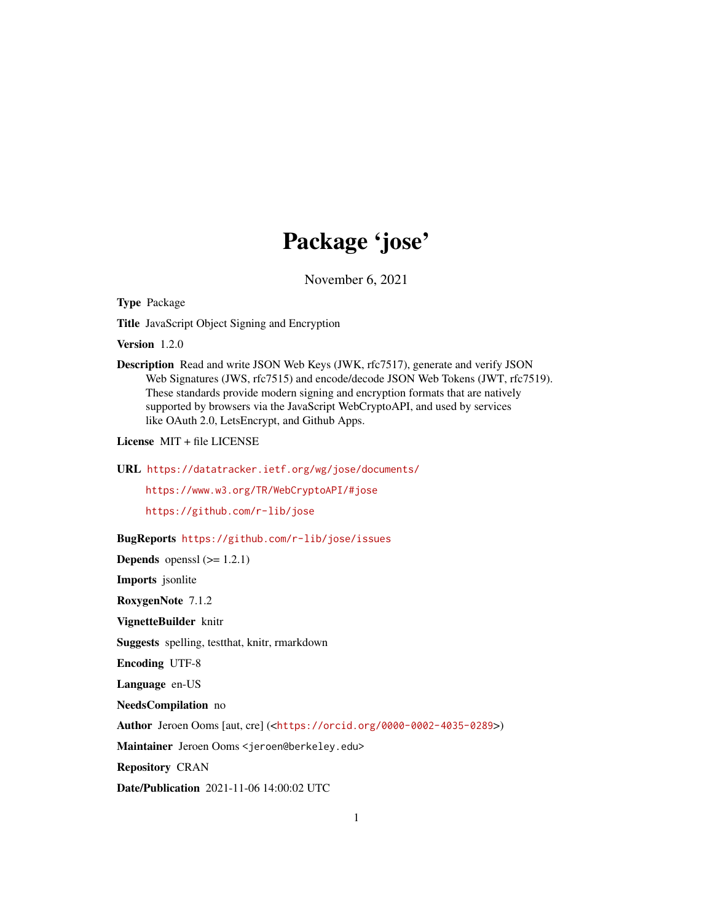## Package 'jose'

November 6, 2021

<span id="page-0-0"></span>Type Package

Title JavaScript Object Signing and Encryption

Version 1.2.0

Description Read and write JSON Web Keys (JWK, rfc7517), generate and verify JSON Web Signatures (JWS, rfc7515) and encode/decode JSON Web Tokens (JWT, rfc7519). These standards provide modern signing and encryption formats that are natively supported by browsers via the JavaScript WebCryptoAPI, and used by services like OAuth 2.0, LetsEncrypt, and Github Apps.

License MIT + file LICENSE

```
URL https://datatracker.ietf.org/wg/jose/documents/
```
<https://www.w3.org/TR/WebCryptoAPI/#jose> <https://github.com/r-lib/jose>

BugReports <https://github.com/r-lib/jose/issues>

**Depends** openssl  $(>= 1.2.1)$ 

Imports jsonlite

RoxygenNote 7.1.2

VignetteBuilder knitr

Suggests spelling, testthat, knitr, rmarkdown

Encoding UTF-8

Language en-US

NeedsCompilation no

Author Jeroen Ooms [aut, cre] (<<https://orcid.org/0000-0002-4035-0289>>)

Maintainer Jeroen Ooms <jeroen@berkeley.edu>

Repository CRAN

Date/Publication 2021-11-06 14:00:02 UTC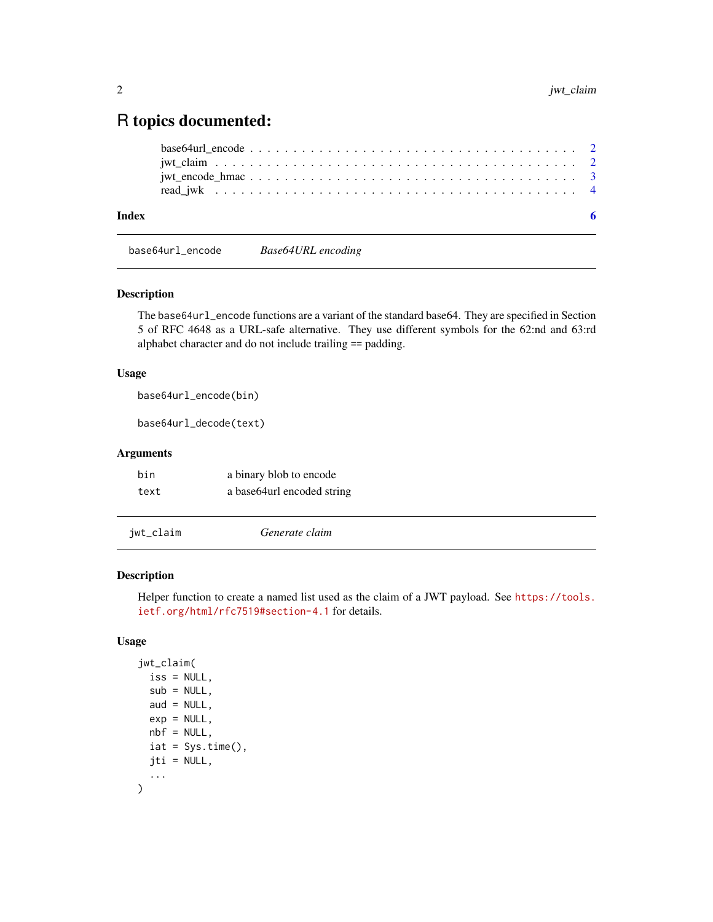### <span id="page-1-0"></span>R topics documented:

| Index | - 6 |
|-------|-----|
|       |     |
|       |     |
|       |     |
|       |     |

base64url\_encode *Base64URL encoding*

#### Description

The base64url\_encode functions are a variant of the standard base64. They are specified in Section 5 of RFC 4648 as a URL-safe alternative. They use different symbols for the 62:nd and 63:rd alphabet character and do not include trailing == padding.

#### Usage

base64url\_encode(bin)

base64url\_decode(text)

#### Arguments

| bin  | a binary blob to encode      |
|------|------------------------------|
| text | a base 64 url encoded string |

jwt\_claim *Generate claim*

#### Description

Helper function to create a named list used as the claim of a JWT payload. See [https://tools.](https://tools.ietf.org/html/rfc7519#section-4.1) [ietf.org/html/rfc7519#section-4.1](https://tools.ietf.org/html/rfc7519#section-4.1) for details.

#### Usage

```
jwt_claim(
 iss = NULL,sub = NULL,aud = NULL,exp = NULL,nbf = NULL,iat = Sys.time(),jti = NULL,
  ...
)
```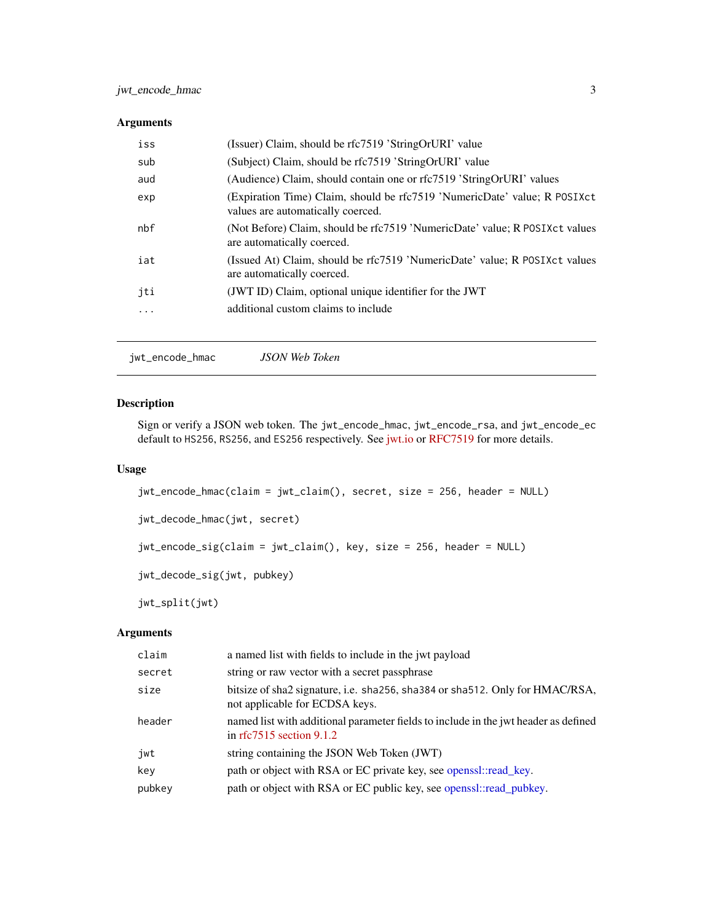#### <span id="page-2-0"></span>Arguments

| iss | (Issuer) Claim, should be rfc7519 'StringOrURI' value                                                          |
|-----|----------------------------------------------------------------------------------------------------------------|
| sub | (Subject) Claim, should be rfc7519 'StringOrURI' value                                                         |
| aud | (Audience) Claim, should contain one or rfc7519 'StringOrURI' values                                           |
| exp | (Expiration Time) Claim, should be rfc7519 'NumericDate' value; R POSIXct<br>values are automatically coerced. |
| nbf | (Not Before) Claim, should be rfc7519 'NumericDate' value; R POSIXct values<br>are automatically coerced.      |
| iat | (Issued At) Claim, should be rfc7519 'NumericDate' value; R POSIXct values<br>are automatically coerced.       |
| jti | (JWT ID) Claim, optional unique identifier for the JWT                                                         |
| .   | additional custom claims to include                                                                            |
|     |                                                                                                                |

jwt\_encode\_hmac *JSON Web Token*

#### Description

Sign or verify a JSON web token. The jwt\_encode\_hmac, jwt\_encode\_rsa, and jwt\_encode\_ec default to HS256, RS256, and ES256 respectively. See [jwt.io](https://jwt.io) or [RFC7519](https://tools.ietf.org/html/rfc7519) for more details.

#### Usage

```
jwt_encode_hmac(claim = jwt_claim(), secret, size = 256, header = NULL)
```
jwt\_decode\_hmac(jwt, secret)

jwt\_encode\_sig(claim = jwt\_claim(), key, size = 256, header = NULL)

```
jwt_decode_sig(jwt, pubkey)
```
jwt\_split(jwt)

#### Arguments

| claim  | a named list with fields to include in the jwt payload                                                               |
|--------|----------------------------------------------------------------------------------------------------------------------|
| secret | string or raw vector with a secret passphrase                                                                        |
| size   | bitsize of sha2 signature, i.e. sha256, sha384 or sha512. Only for HMAC/RSA,<br>not applicable for ECDSA keys.       |
| header | named list with additional parameter fields to include in the jwt header as defined<br>in rfc $7515$ section $9.1.2$ |
| jwt    | string containing the JSON Web Token (JWT)                                                                           |
| key    | path or object with RSA or EC private key, see openssl::read_key.                                                    |
| pubkey | path or object with RSA or EC public key, see openssl::read_pubkey.                                                  |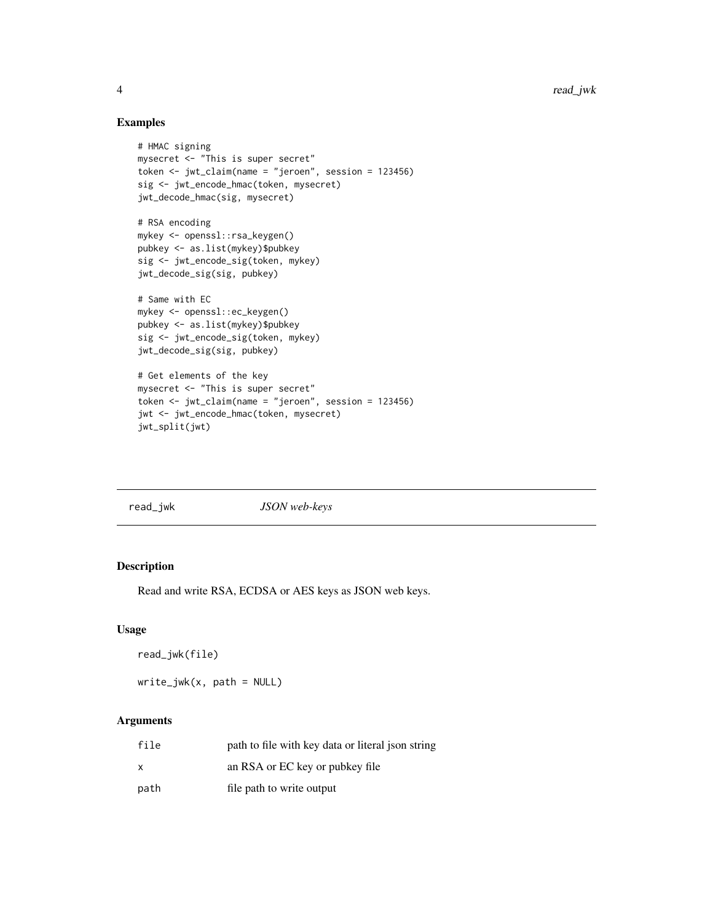#### Examples

```
# HMAC signing
mysecret <- "This is super secret"
token <- jwt_claim(name = "jeroen", session = 123456)
sig <- jwt_encode_hmac(token, mysecret)
jwt_decode_hmac(sig, mysecret)
# RSA encoding
mykey <- openssl::rsa_keygen()
pubkey <- as.list(mykey)$pubkey
sig <- jwt_encode_sig(token, mykey)
jwt_decode_sig(sig, pubkey)
# Same with EC
mykey <- openssl::ec_keygen()
pubkey <- as.list(mykey)$pubkey
sig <- jwt_encode_sig(token, mykey)
jwt_decode_sig(sig, pubkey)
# Get elements of the key
mysecret <- "This is super secret"
token <- jwt_claim(name = "jeroen", session = 123456)
jwt <- jwt_encode_hmac(token, mysecret)
jwt_split(jwt)
```
read\_jwk *JSON web-keys*

#### Description

Read and write RSA, ECDSA or AES keys as JSON web keys.

#### Usage

read\_jwk(file)

write\_jwk(x, path = NULL)

#### Arguments

| file | path to file with key data or literal json string |
|------|---------------------------------------------------|
| x    | an RSA or EC key or pubkey file                   |
| path | file path to write output                         |

<span id="page-3-0"></span>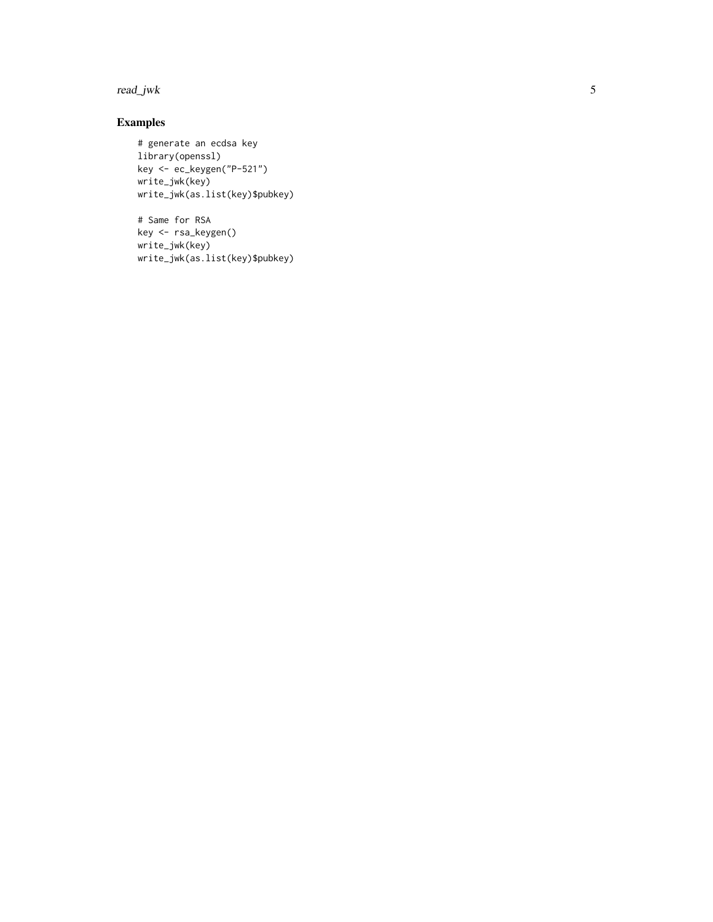#### read\_jwk

#### Examples

```
# generate an ecdsa key
library(openssl)
key <- ec_keygen("P-521")
write_jwk(key)
write_jwk(as.list(key)$pubkey)
```

```
# Same for RSA
key <- rsa_keygen()
write_jwk(key)
write_jwk(as.list(key)$pubkey)
```